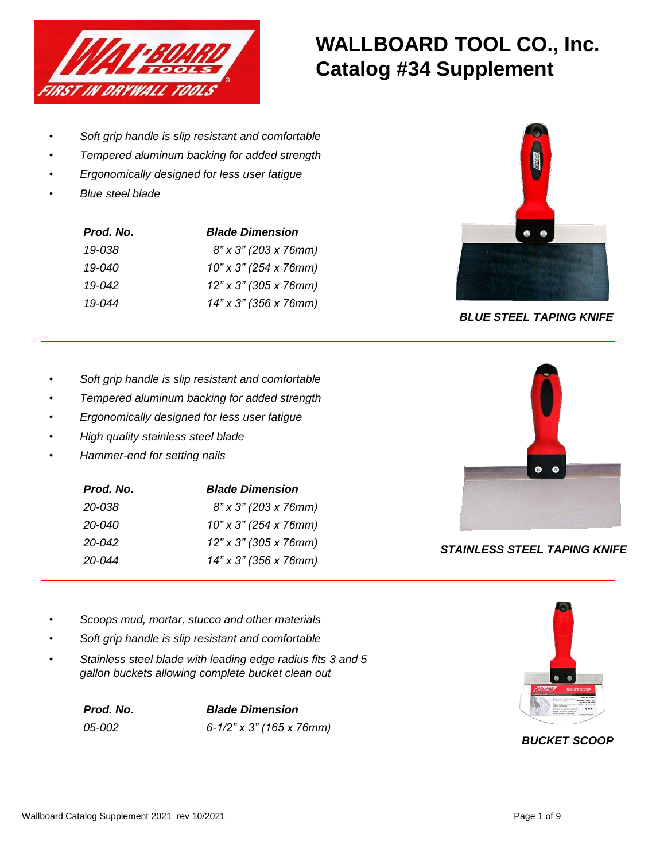

# **WALLBOARD TOOL CO., Inc. Catalog #34 Supplement**

- *Soft grip handle is slip resistant and comfortable*
- *Tempered aluminum backing for added strength*
- *Ergonomically designed for less user fatigue*
- *Blue steel blade*

| Prod. No.  | <b>Blade Dimension</b> |
|------------|------------------------|
| 19-038     | 8" x 3" (203 x 76mm)   |
| $19 - 040$ | 10" x 3" (254 x 76mm)  |
| $19 - 042$ | 12" x 3" (305 x 76mm)  |
| $19 - 044$ | 14" x 3" (356 x 76mm)  |



*BLUE STEEL TAPING KNIFE*

- *Soft grip handle is slip resistant and comfortable*
- *Tempered aluminum backing for added strength*
- *Ergonomically designed for less user fatigue*
- *High quality stainless steel blade*
- *Hammer-end for setting nails*

| Prod. No.  | <b>Blade Dimension</b> |
|------------|------------------------|
| 20-038     | 8" x 3" (203 x 76mm)   |
| 20-040     | 10" x 3" (254 x 76mm)  |
| 20-042     | 12" x 3" (305 x 76mm)  |
| $20 - 044$ | 14" x 3" (356 x 76mm)  |



*STAINLESS STEEL TAPING KNIFE*

- *Scoops mud, mortar, stucco and other materials*
- *Soft grip handle is slip resistant and comfortable*
- *Stainless steel blade with leading edge radius fits 3 and 5 gallon buckets allowing complete bucket clean out*

*Prod. No. Blade Dimension 05-002 6-1/2" x 3" (165 x 76mm)*



# *BUCKET SCOOP*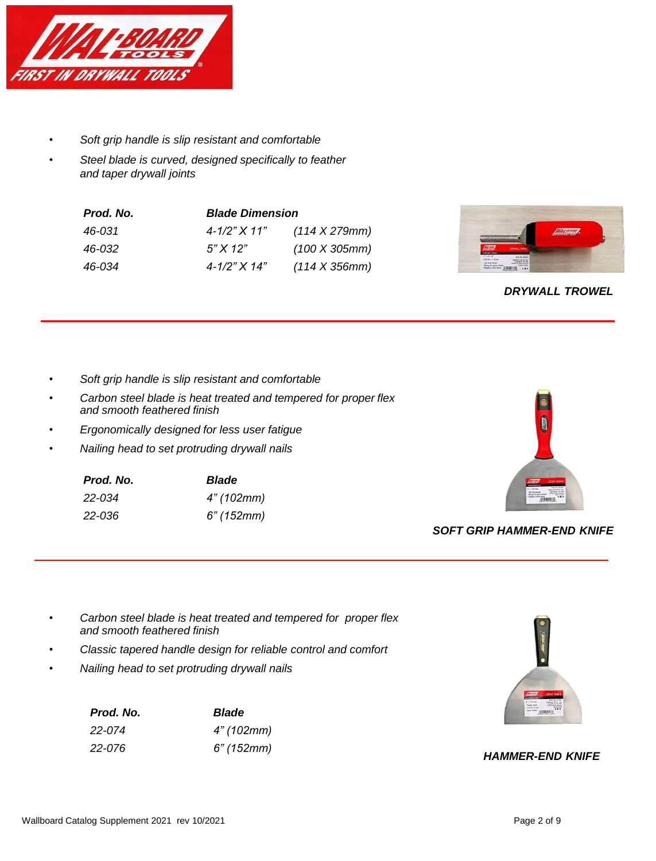

- *Soft grip handle is slip resistant and comfortable*
- *Steel blade is curved, designed specifically to feather and taper drywall joints*

| Prod. No. | <b>Blade Dimension</b> |                       |
|-----------|------------------------|-----------------------|
| 46-031    | $4 - 1/2" X 11"$       | $(114 \times 279$ mm) |
| 46-032    | $5"$ X 12"             | (100 X 305mm)         |
| 46-034    | $4 - 1/2" X 14"$       | $(114 \times 356$ mm) |



## *DRYWALL TROWEL*

- *Soft grip handle is slip resistant and comfortable*
- *Carbon steel blade is heat treated and tempered for proper flex and smooth feathered finish*
- *Ergonomically designed for less user fatigue*
- *Nailing head to set protruding drywall nails*

| Prod. No. | <b>Blade</b> |
|-----------|--------------|
| 22-034    | 4" (102mm)   |
| 22-036    | 6" (152mm)   |



### *SOFT GRIP HAMMER-END KNIFE*

- *Carbon steel blade is heat treated and tempered for proper flex and smooth feathered finish*
- *Classic tapered handle design for reliable control and comfort*
- *Nailing head to set protruding drywall nails*

| Prod. No. | <b>Blade</b> |
|-----------|--------------|
| 22-074    | 4" (102mm)   |
| 22-076    | 6" (152mm)   |



#### *HAMMER-END KNIFE*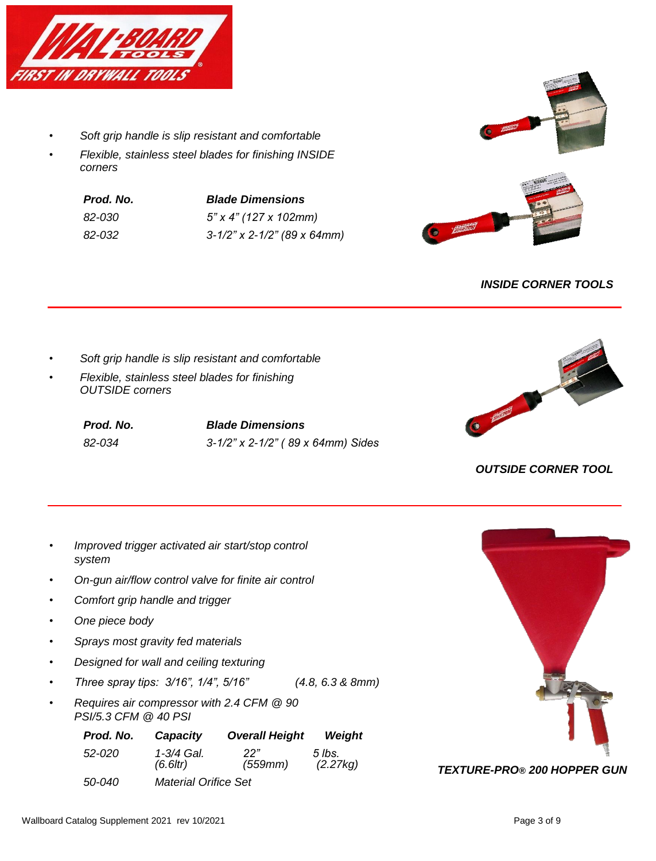

- *Soft grip handle is slip resistant and comfortable*
- *Flexible, stainless steel blades for finishing INSIDE corners*

| Prod. No. | <b>Blade Dimensions</b>        |
|-----------|--------------------------------|
| 82-030    | $5"$ x 4" (127 x 102mm)        |
| 82-032    | $3-1/2$ " x 2-1/2" (89 x 64mm) |



## *INSIDE CORNER TOOLS*

- *Soft grip handle is slip resistant and comfortable*
- *Flexible, stainless steel blades for finishing OUTSIDE corners*

*Prod. No. Blade Dimensions 82-034 3-1/2" x 2-1/2" ( 89 x 64mm) Sides*



# *OUTSIDE CORNER TOOL*

- *Improved trigger activated air start/stop control system*
- *On-gun air/flow control valve for finite air control*
- *Comfort grip handle and trigger*
- *One piece body*
- *Sprays most gravity fed materials*
- *Designed for wall and ceiling texturing*
- *Three spray tips: 3/16", 1/4", 5/16" (4.8, 6.3 & 8mm)*
- *Requires air compressor with 2.4 CFM @ 90 PSI/5.3 CFM @ 40 PSI*

| Prod. No.     | Capacity                     | <b>Overall Height</b> | Weight             |
|---------------|------------------------------|-----------------------|--------------------|
| 52-020        | 1-3/4 Gal.<br>$(6.6$ ltr $)$ | 22"<br>(559mm)        | 5 lbs.<br>(2.27kg) |
| <i>50-040</i> | <b>Material Orifice Set</b>  |                       |                    |

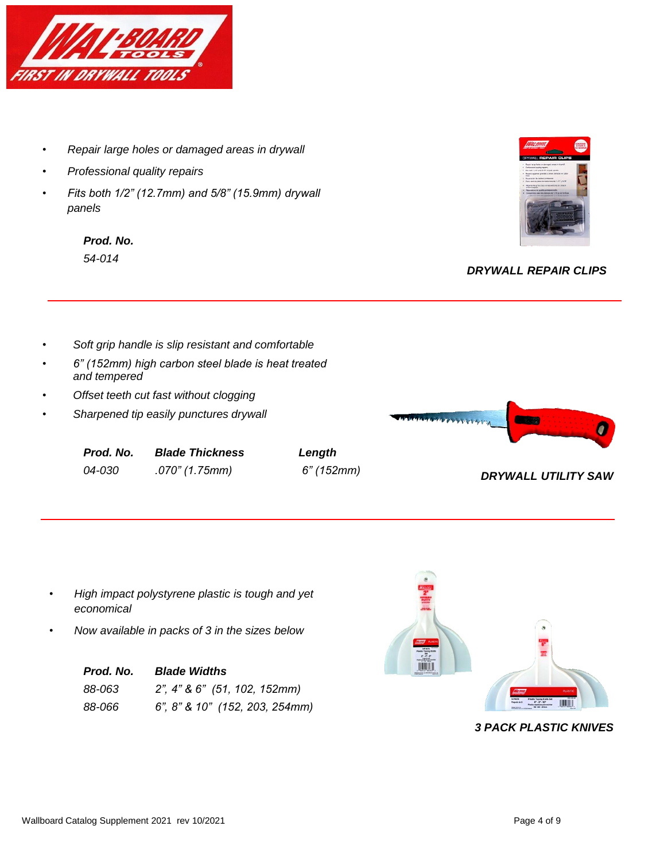

- *Repair large holes or damaged areas in drywall*
- *Professional quality repairs*
- *Fits both 1/2" (12.7mm) and 5/8" (15.9mm) drywall panels*

*Prod. No. 54-014*



## *DRYWALL REPAIR CLIPS*

- *Soft grip handle is slip resistant and comfortable*
- *6" (152mm) high carbon steel blade is heat treated and tempered*
- *Offset teeth cut fast without clogging*
- *Sharpened tip easily punctures drywall*

| Prod. No.     | <b>Blade Thickness</b> |
|---------------|------------------------|
| <i>04-030</i> | .070" (1.75mm)         |





*04-030 .070" (1.75mm) 6" (152mm) DRYWALL UTILITY SAW*

- *High impact polystyrene plastic is tough and yet economical*
- *Now available in packs of 3 in the sizes below*

| Prod. No. | <b>Blade Widths</b>            |  |
|-----------|--------------------------------|--|
| 88-063    | 2", 4" & 6" (51, 102, 152mm)   |  |
| 88-066    | 6", 8" & 10" (152, 203, 254mm) |  |

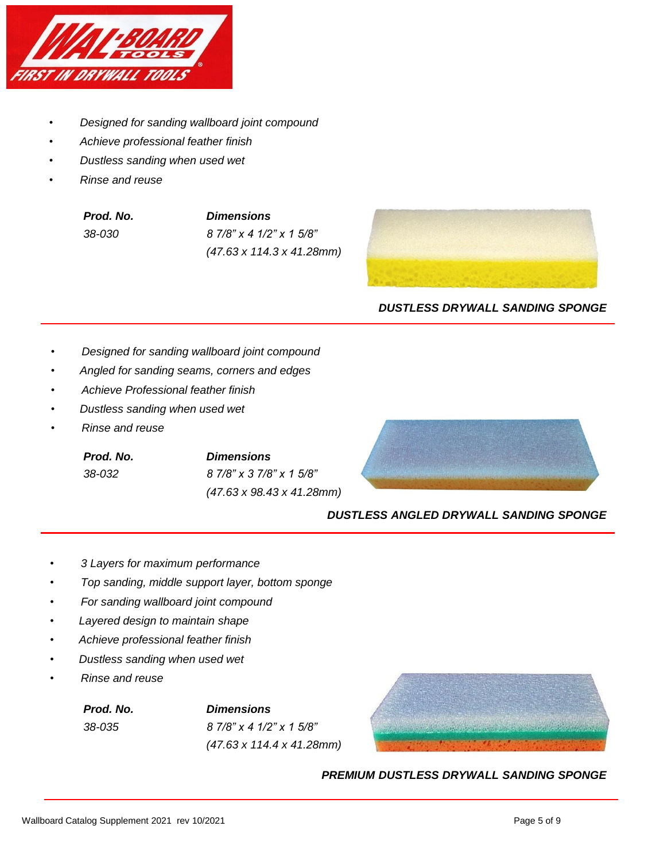

- *Designed for sanding wallboard joint compound*
- *Achieve professional feather finish*
- *Dustless sanding when used wet*
- *Rinse and reuse*

| Prod. No. |  |
|-----------|--|
| 38-030    |  |

*Prod. No. Dimensions 38-030 8 7/8" x 4 1/2" x 1 5/8" (47.63 x 114.3 x 41.28mm)*



#### *DUSTLESS DRYWALL SANDING SPONGE*

- *Designed for sanding wallboard joint compound*
- • *Angled for sanding seams, corners and edges*
- *Achieve Professional feather finish*
- • *Dustless sanding when used wet*
- *Rinse and reuse*

*Prod. No. Dimensions 38-032 8 7/8" x 3 7/8" x 1 5/8" (47.63 x 98.43 x 41.28mm)*



#### *DUSTLESS ANGLED DRYWALL SANDING SPONGE*

- *3 Layers for maximum performance*
- *Top sanding, middle support layer, bottom sponge*
- *For sanding wallboard joint compound*
- • *Layered design to maintain shape*
- • *Achieve professional feather finish*
- • *Dustless sanding when used wet*
- *Rinse and reuse*

*Prod. No. Dimensions 38-035 8 7/8" x 4 1/2" x 1 5/8" (47.63 x 114.4 x 41.28mm)*



*PREMIUM DUSTLESS DRYWALL SANDING SPONGE*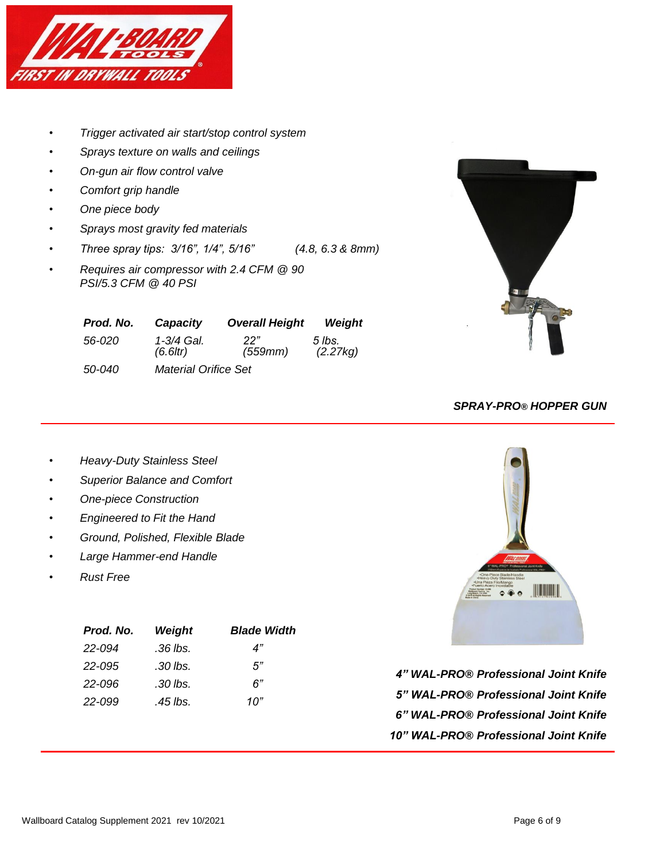

- *Trigger activated air start/stop control system*
- *Sprays texture on walls and ceilings*
- *On-gun air flow control valve*
- *Comfort grip handle*
- *One piece body*
- *Sprays most gravity fed materials*
- *Three spray tips: 3/16", 1/4", 5/16" (4.8, 6.3 & 8mm)*
- *Requires air compressor with 2.4 CFM @ 90 PSI/5.3 CFM @ 40 PSI*

| Prod. No. | Capacity                     | <b>Overall Height</b> | Weight             |
|-----------|------------------------------|-----------------------|--------------------|
| 56-020    | 1-3/4 Gal.<br>$(6.6$ ltr $)$ | 22"<br>(559mm)        | 5 lbs.<br>(2.27kg) |
| 50-040    | Material Orifice Set         |                       |                    |



## *SPRAY-PRO® HOPPER GUN*

- *Heavy-Duty Stainless Steel*
- *Superior Balance and Comfort*
- *One-piece Construction*
- *Engineered to Fit the Hand*
- *Ground, Polished, Flexible Blade*
- *Large Hammer-end Handle*
- *Rust Free*

| Prod. No. | Weight   | <b>Blade Width</b> |
|-----------|----------|--------------------|
| 22-094    | .36 lbs. | 4"                 |
| 22-095    | .30 lbs. | 5"                 |
| 22-096    | .30 lbs. | 6"                 |
| 22-099    | .45 lbs. | 10"                |
|           |          |                    |



*4" WAL-PRO® Professional Joint Knife 5" WAL-PRO® Professional Joint Knife 6" WAL-PRO® Professional Joint Knife 10" WAL-PRO® Professional Joint Knife*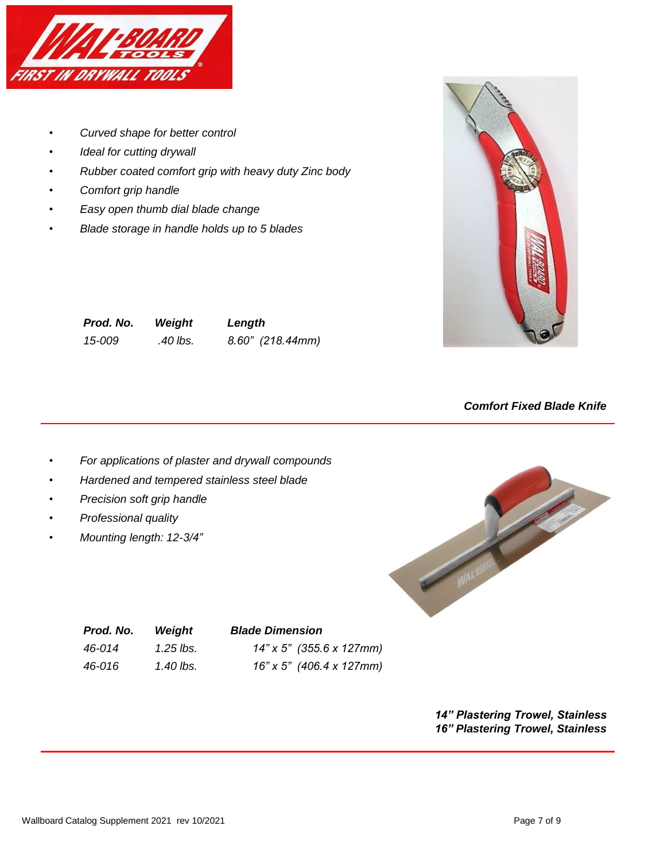

- *Curved shape for better control*
- *Ideal for cutting drywall*
- *Rubber coated comfort grip with heavy duty Zinc body*
- *Comfort grip handle*
- *Easy open thumb dial blade change*
- *Blade storage in handle holds up to 5 blades*



| Prod. No. | Weight   | Length             |
|-----------|----------|--------------------|
| 15-009    | .40 lbs. | $8.60"$ (218.44mm) |

*Comfort Fixed Blade Knife*

- *For applications of plaster and drywall compounds*
- *Hardened and tempered stainless steel blade*
- *Precision soft grip handle*
- *Professional quality*
- *Mounting length: 12-3/4"*



| Prod. No. | Wei  |
|-----------|------|
| 46-014    | 1.25 |
| 46-016    | 1.40 |

#### *Prod. No. Weight Blade Dimension*

| 46-014 | 1.25 lbs. | $14"$ x 5" (355.6 x 127mm) |
|--------|-----------|----------------------------|
| 46-016 | 1.40 lbs. | 16" x 5" (406.4 x 127mm)   |

*14" Plastering Trowel, Stainless 16" Plastering Trowel, Stainless*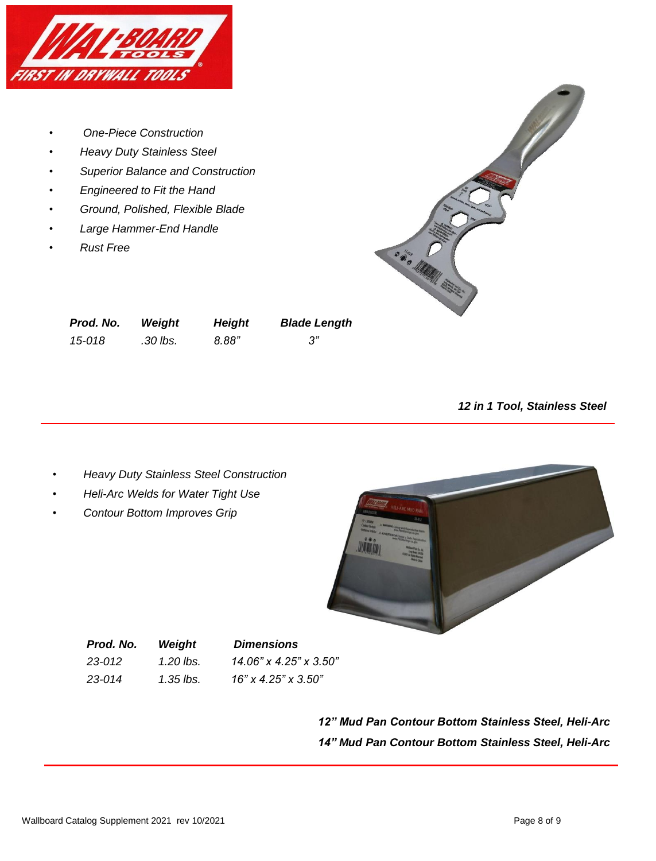

- *One-Piece Construction*
- *Heavy Duty Stainless Steel*
- *Superior Balance and Construction*
- *Engineered to Fit the Hand*
- *Ground, Polished, Flexible Blade*
- *Large Hammer-End Handle*
- *Rust Free*



| Prod. No. | Weight   | <b>Height</b> | <b>Blade Length</b> |
|-----------|----------|---------------|---------------------|
| 15-018    | .30 lbs. | 8.88"         |                     |

*12 in 1 Tool, Stainless Steel*

- *Heavy Duty Stainless Steel Construction*
- *Heli-Arc Welds for Water Tight Use*
- *Contour Bottom Improves Grip*



*Prod. No. Weight Dimensions 23-012 1.20 lbs. 14.06" x 4.25" x 3.50" 23-014 1.35 lbs. 16" x 4.25" x 3.50"*

> *12" Mud Pan Contour Bottom Stainless Steel, Heli-Arc 14" Mud Pan Contour Bottom Stainless Steel, Heli-Arc*